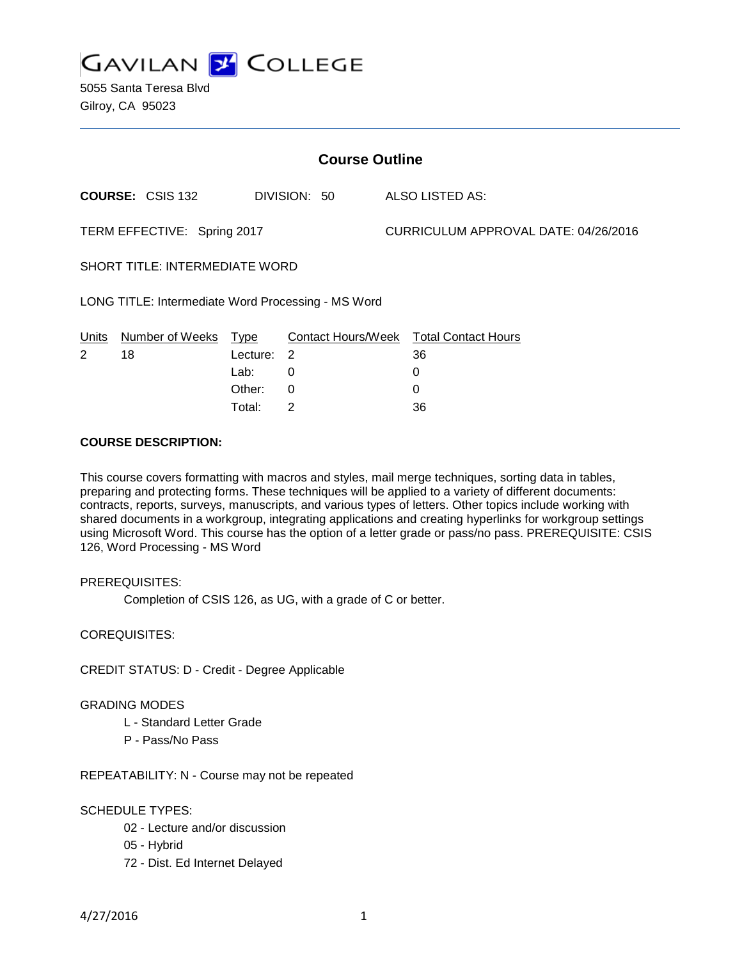

5055 Santa Teresa Blvd Gilroy, CA 95023

| <b>Course Outline</b>                              |                         |          |              |  |                                        |  |
|----------------------------------------------------|-------------------------|----------|--------------|--|----------------------------------------|--|
|                                                    | <b>COURSE: CSIS 132</b> |          | DIVISION: 50 |  | ALSO LISTED AS:                        |  |
| TERM EFFECTIVE: Spring 2017                        |                         |          |              |  | CURRICULUM APPROVAL DATE: 04/26/2016   |  |
| <b>SHORT TITLE: INTERMEDIATE WORD</b>              |                         |          |              |  |                                        |  |
| LONG TITLE: Intermediate Word Processing - MS Word |                         |          |              |  |                                        |  |
| Units                                              | Number of Weeks         | Type     |              |  | Contact Hours/Week Total Contact Hours |  |
| 2                                                  | 18                      | Lecture: | -2           |  | 36                                     |  |
|                                                    |                         | Lab:     | 0            |  | 0                                      |  |
|                                                    |                         | Other:   | $\Omega$     |  | 0                                      |  |
|                                                    |                         | Total:   | 2            |  | 36                                     |  |

### **COURSE DESCRIPTION:**

This course covers formatting with macros and styles, mail merge techniques, sorting data in tables, preparing and protecting forms. These techniques will be applied to a variety of different documents: contracts, reports, surveys, manuscripts, and various types of letters. Other topics include working with shared documents in a workgroup, integrating applications and creating hyperlinks for workgroup settings using Microsoft Word. This course has the option of a letter grade or pass/no pass. PREREQUISITE: CSIS 126, Word Processing - MS Word

## PREREQUISITES:

Completion of CSIS 126, as UG, with a grade of C or better.

COREQUISITES:

CREDIT STATUS: D - Credit - Degree Applicable

#### GRADING MODES

- L Standard Letter Grade
- P Pass/No Pass

REPEATABILITY: N - Course may not be repeated

## SCHEDULE TYPES:

- 02 Lecture and/or discussion
- 05 Hybrid
- 72 Dist. Ed Internet Delayed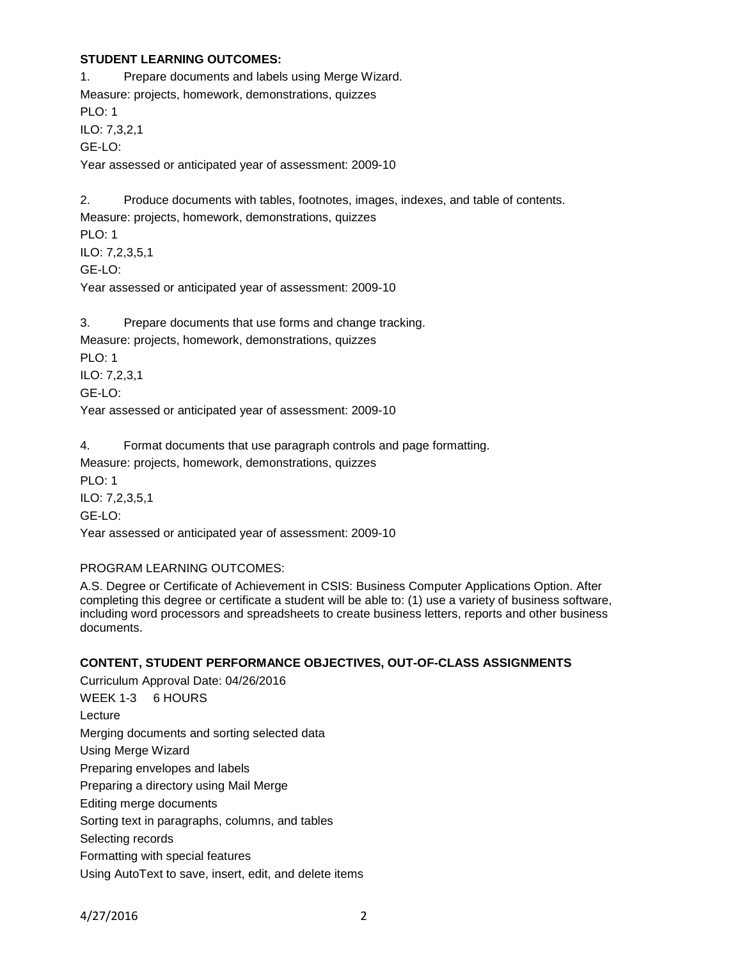## **STUDENT LEARNING OUTCOMES:**

1. Prepare documents and labels using Merge Wizard. Measure: projects, homework, demonstrations, quizzes PLO: 1 ILO: 7,3,2,1 GE-LO: Year assessed or anticipated year of assessment: 2009-10

2. Produce documents with tables, footnotes, images, indexes, and table of contents. Measure: projects, homework, demonstrations, quizzes PLO: 1 ILO: 7,2,3,5,1 GE-LO: Year assessed or anticipated year of assessment: 2009-10

3. Prepare documents that use forms and change tracking. Measure: projects, homework, demonstrations, quizzes PLO: 1 ILO: 7,2,3,1 GE-LO: Year assessed or anticipated year of assessment: 2009-10

4. Format documents that use paragraph controls and page formatting. Measure: projects, homework, demonstrations, quizzes PLO: 1 ILO: 7,2,3,5,1 GE-LO: Year assessed or anticipated year of assessment: 2009-10

## PROGRAM LEARNING OUTCOMES:

A.S. Degree or Certificate of Achievement in CSIS: Business Computer Applications Option. After completing this degree or certificate a student will be able to: (1) use a variety of business software, including word processors and spreadsheets to create business letters, reports and other business documents.

## **CONTENT, STUDENT PERFORMANCE OBJECTIVES, OUT-OF-CLASS ASSIGNMENTS**

Curriculum Approval Date: 04/26/2016 WEEK 1-3 6 HOURS Lecture Merging documents and sorting selected data Using Merge Wizard Preparing envelopes and labels Preparing a directory using Mail Merge Editing merge documents Sorting text in paragraphs, columns, and tables Selecting records Formatting with special features Using AutoText to save, insert, edit, and delete items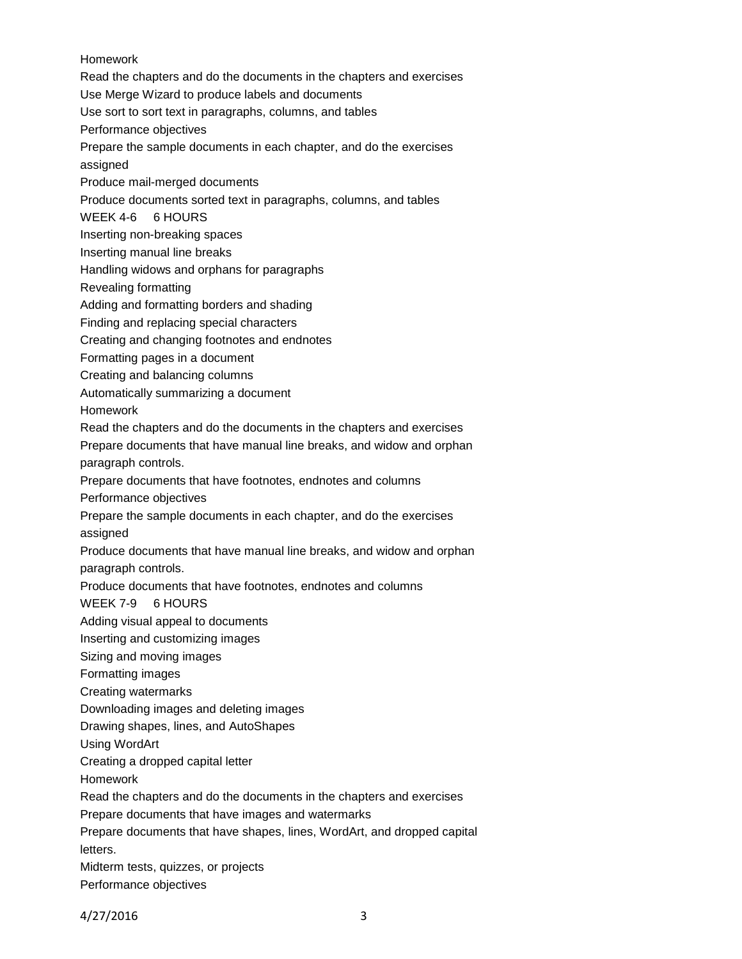# Homework

Read the chapters and do the documents in the chapters and exercises

Use Merge Wizard to produce labels and documents

Use sort to sort text in paragraphs, columns, and tables

Performance objectives

Prepare the sample documents in each chapter, and do the exercises assigned

Produce mail-merged documents

Produce documents sorted text in paragraphs, columns, and tables

WEEK 4-6 6 HOURS

Inserting non-breaking spaces

Inserting manual line breaks

Handling widows and orphans for paragraphs

Revealing formatting

Adding and formatting borders and shading

Finding and replacing special characters

Creating and changing footnotes and endnotes

Formatting pages in a document

Creating and balancing columns

Automatically summarizing a document

Homework

Read the chapters and do the documents in the chapters and exercises

Prepare documents that have manual line breaks, and widow and orphan paragraph controls.

Prepare documents that have footnotes, endnotes and columns

Performance objectives

Prepare the sample documents in each chapter, and do the exercises assigned

Produce documents that have manual line breaks, and widow and orphan

paragraph controls.

Produce documents that have footnotes, endnotes and columns

WEEK 7-9 6 HOURS

Adding visual appeal to documents

Inserting and customizing images

Sizing and moving images

Formatting images

Creating watermarks

Downloading images and deleting images

Drawing shapes, lines, and AutoShapes

Using WordArt

Creating a dropped capital letter

Homework

Read the chapters and do the documents in the chapters and exercises

Prepare documents that have images and watermarks

Prepare documents that have shapes, lines, WordArt, and dropped capital letters.

Midterm tests, quizzes, or projects

Performance objectives

4/27/2016 3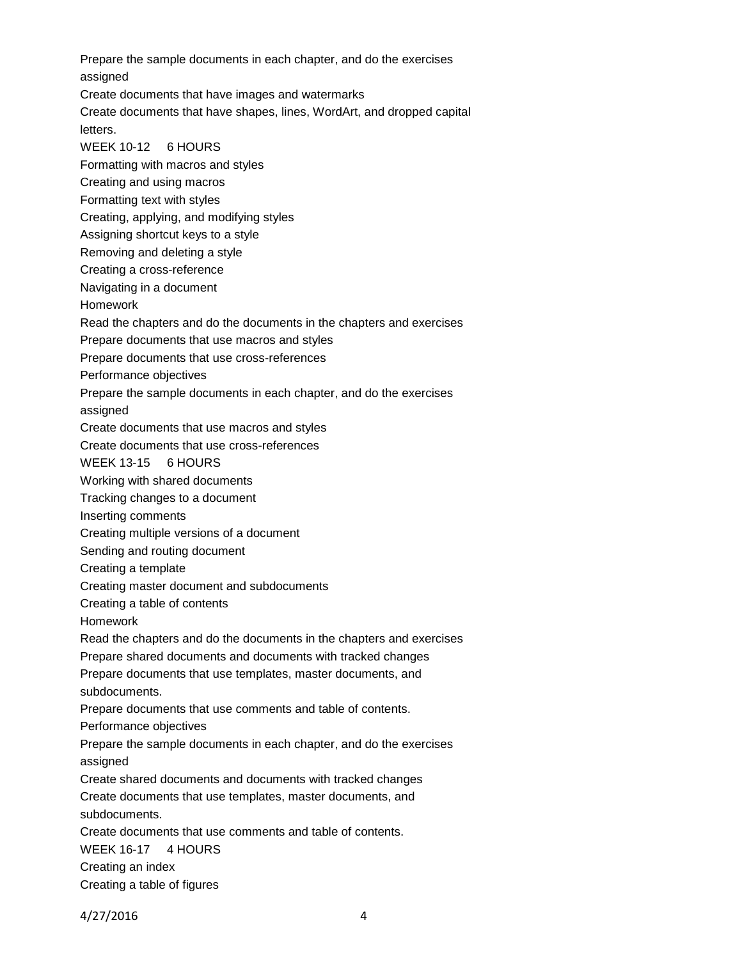Prepare the sample documents in each chapter, and do the exercises assigned Create documents that have images and watermarks Create documents that have shapes, lines, WordArt, and dropped capital letters. WEEK 10-12 6 HOURS Formatting with macros and styles Creating and using macros Formatting text with styles Creating, applying, and modifying styles Assigning shortcut keys to a style Removing and deleting a style Creating a cross-reference Navigating in a document Homework Read the chapters and do the documents in the chapters and exercises Prepare documents that use macros and styles Prepare documents that use cross-references Performance objectives Prepare the sample documents in each chapter, and do the exercises assigned Create documents that use macros and styles Create documents that use cross-references WEEK 13-15 6 HOURS Working with shared documents Tracking changes to a document Inserting comments Creating multiple versions of a document Sending and routing document Creating a template Creating master document and subdocuments Creating a table of contents Homework Read the chapters and do the documents in the chapters and exercises Prepare shared documents and documents with tracked changes Prepare documents that use templates, master documents, and subdocuments. Prepare documents that use comments and table of contents. Performance objectives Prepare the sample documents in each chapter, and do the exercises assigned Create shared documents and documents with tracked changes Create documents that use templates, master documents, and subdocuments. Create documents that use comments and table of contents. WEEK 16-17 4 HOURS Creating an index Creating a table of figures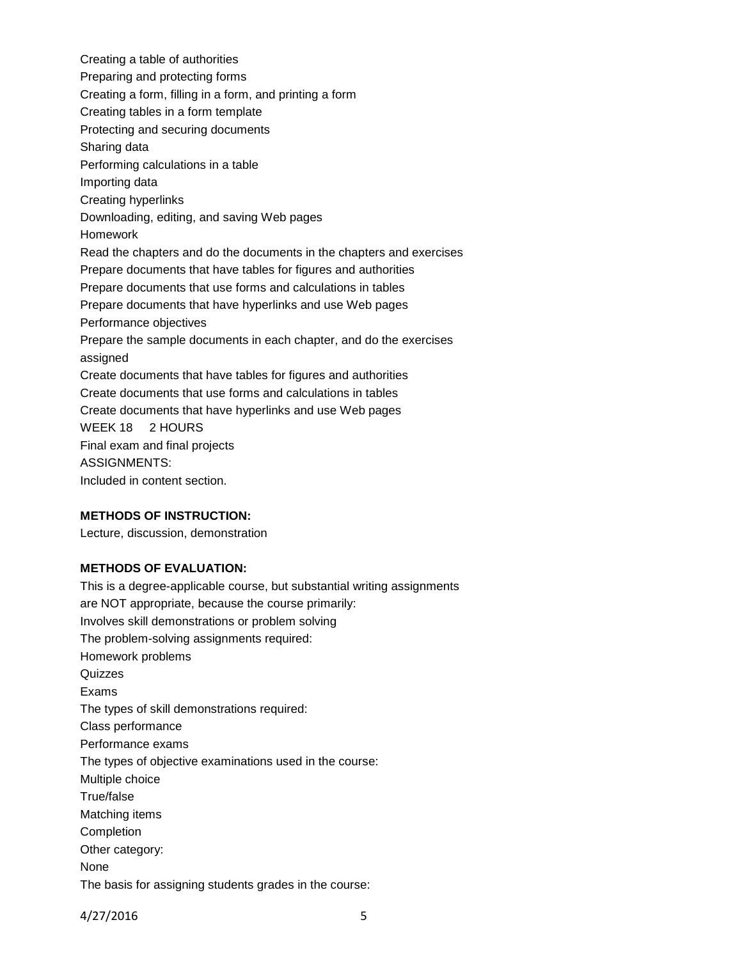Creating a table of authorities Preparing and protecting forms Creating a form, filling in a form, and printing a form Creating tables in a form template Protecting and securing documents Sharing data Performing calculations in a table Importing data Creating hyperlinks Downloading, editing, and saving Web pages Homework Read the chapters and do the documents in the chapters and exercises Prepare documents that have tables for figures and authorities Prepare documents that use forms and calculations in tables Prepare documents that have hyperlinks and use Web pages Performance objectives Prepare the sample documents in each chapter, and do the exercises assigned Create documents that have tables for figures and authorities Create documents that use forms and calculations in tables Create documents that have hyperlinks and use Web pages WEEK 18 2 HOURS Final exam and final projects ASSIGNMENTS: Included in content section.

# **METHODS OF INSTRUCTION:**

Lecture, discussion, demonstration

### **METHODS OF EVALUATION:**

This is a degree-applicable course, but substantial writing assignments are NOT appropriate, because the course primarily: Involves skill demonstrations or problem solving The problem-solving assignments required: Homework problems Quizzes Exams The types of skill demonstrations required: Class performance Performance exams The types of objective examinations used in the course: Multiple choice True/false Matching items Completion Other category: None The basis for assigning students grades in the course:

4/27/2016 5